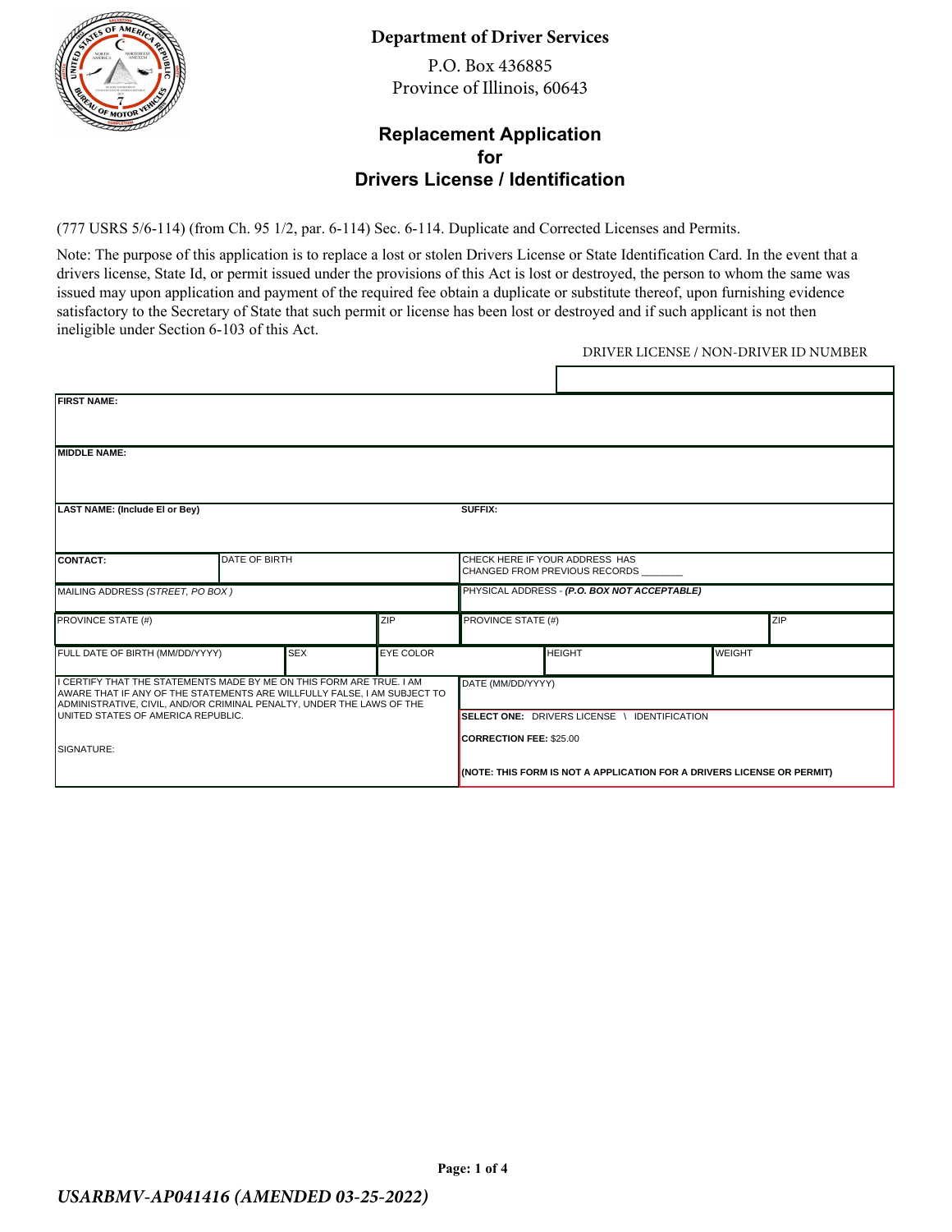

#### **Department of Driver Services**

P.O. Box 436885 Province of Illinois, 60643

#### **Replacement Application for Drivers License / Identification**

(777 USRS 5/6-114) (from Ch. 95 1/2, par. 6-114) Sec. 6-114. Duplicate and Corrected Licenses and Permits.

Note: The purpose of this application is to replace a lost or stolen Drivers License or State Identification Card. In the event that a drivers license, State Id, or permit issued under the provisions of this Act is lost or destroyed, the person to whom the same was issued may upon application and payment of the required fee obtain a duplicate or substitute thereof, upon furnishing evidence satisfactory to the Secretary of State that such permit or license has been lost or destroyed and if such applicant is not then ineligible under Section 6-103 of this Act.

#### DRIVER LICENSE / NON-DRIVER ID NUMBER

| <b>FIRST NAME:</b>                                                                                                                                                                                                         |                      |            |                   |                                                                                                                                                          |               |               |            |
|----------------------------------------------------------------------------------------------------------------------------------------------------------------------------------------------------------------------------|----------------------|------------|-------------------|----------------------------------------------------------------------------------------------------------------------------------------------------------|---------------|---------------|------------|
| MIDDLE NAME:                                                                                                                                                                                                               |                      |            |                   |                                                                                                                                                          |               |               |            |
| LAST NAME: (Include El or Bey)                                                                                                                                                                                             |                      |            |                   | SUFFIX:                                                                                                                                                  |               |               |            |
| <b>ICONTACT:</b>                                                                                                                                                                                                           | <b>DATE OF BIRTH</b> |            |                   | CHECK HERE IF YOUR ADDRESS HAS<br>ICHANGED FROM PREVIOUS RECORDS                                                                                         |               |               |            |
| MAILING ADDRESS (STREET, PO BOX)                                                                                                                                                                                           |                      |            |                   | PHYSICAL ADDRESS - (P.O. BOX NOT ACCEPTABLE)                                                                                                             |               |               |            |
| <b>PROVINCE STATE (#)</b>                                                                                                                                                                                                  |                      |            | ZIP               | <b>PROVINCE STATE (#)</b>                                                                                                                                |               |               | <b>ZIP</b> |
| FULL DATE OF BIRTH (MM/DD/YYYY)                                                                                                                                                                                            |                      | <b>SEX</b> | <b>EYE COLOR</b>  |                                                                                                                                                          | <b>HEIGHT</b> | <b>WEIGHT</b> |            |
| II CERTIFY THAT THE STATEMENTS MADE BY ME ON THIS FORM ARE TRUE. I AM<br>AWARE THAT IF ANY OF THE STATEMENTS ARE WILLFULLY FALSE, I AM SUBJECT TO<br>ADMINISTRATIVE, CIVIL, AND/OR CRIMINAL PENALTY, UNDER THE LAWS OF THE |                      |            | DATE (MM/DD/YYYY) |                                                                                                                                                          |               |               |            |
| <b>IUNITED STATES OF AMERICA REPUBLIC.</b><br><b>SIGNATURE:</b>                                                                                                                                                            |                      |            |                   | SELECT ONE: DRIVERS LICENSE \ IDENTIFICATION<br><b>CORRECTION FEE: \$25.00</b><br>(NOTE: THIS FORM IS NOT A APPLICATION FOR A DRIVERS LICENSE OR PERMIT) |               |               |            |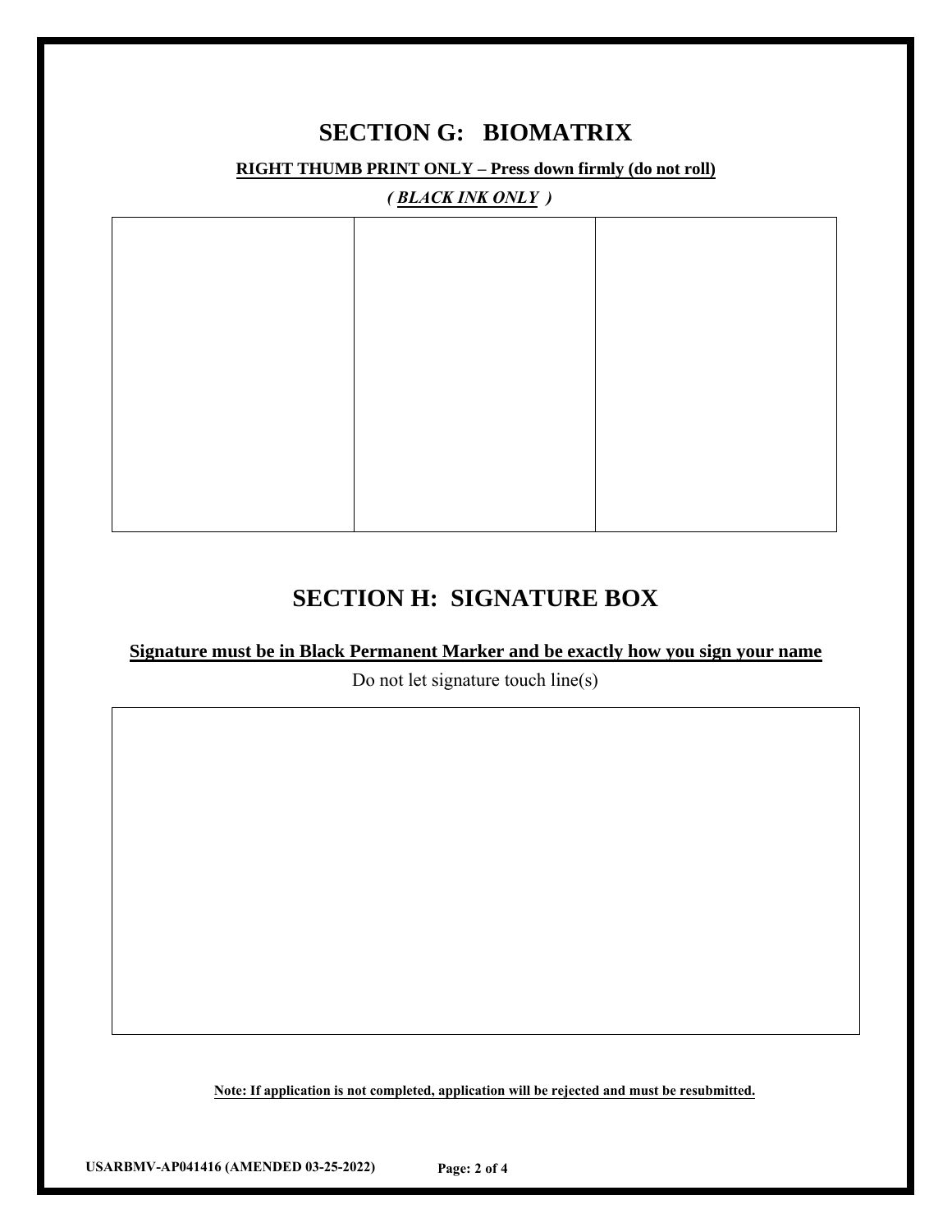## **SECTION G: BIOMATRIX**

**RIGHT THUMB PRINT ONLY – Press down firmly (do not roll)**

*( BLACK INK ONLY )*

## **SECTION H: SIGNATURE BOX**

#### **Signature must be in Black Permanent Marker and be exactly how you sign your name**

Do not let signature touch line(s)

**Note: If application is not completed, application will be rejected and must be resubmitted.**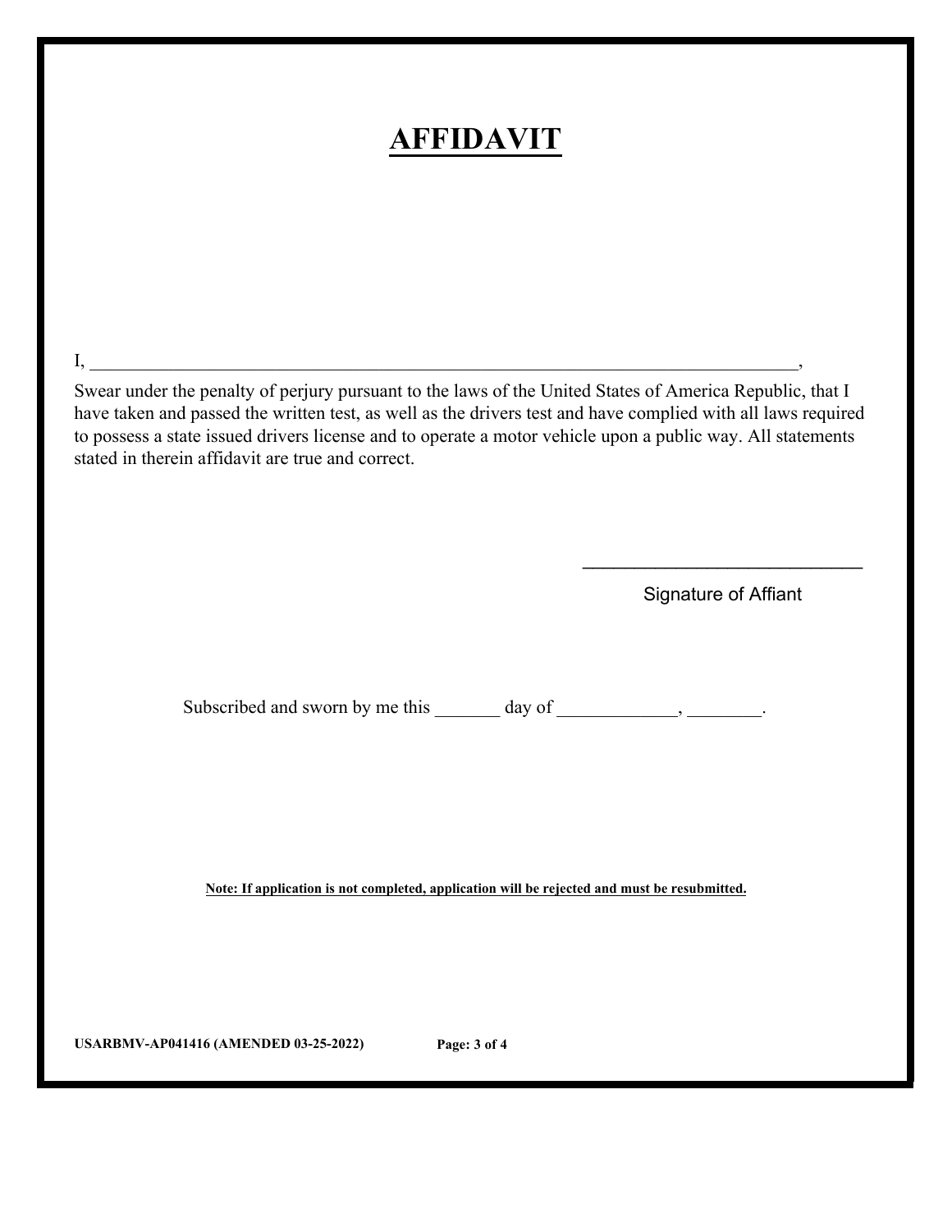# **AFFIDAVIT**

Swear under the penalty of perjury pursuant to the laws of the United States of America Republic, that I have taken and passed the written test, as well as the drivers test and have complied with all laws required to possess a state issued drivers license and to operate a motor vehicle upon a public way. All statements stated in therein affidavit are true and correct.

 $\mathrm{I}, \_\_\_\_\_\_\_$ 

Signature of Affiant

 $\overline{\phantom{a}}$  , where  $\overline{\phantom{a}}$  , where  $\overline{\phantom{a}}$  , where  $\overline{\phantom{a}}$  ,  $\overline{\phantom{a}}$  ,  $\overline{\phantom{a}}$  ,  $\overline{\phantom{a}}$  ,  $\overline{\phantom{a}}$  ,  $\overline{\phantom{a}}$  ,  $\overline{\phantom{a}}$  ,  $\overline{\phantom{a}}$  ,  $\overline{\phantom{a}}$  ,  $\overline{\phantom{a}}$  ,  $\overline{\phantom{a}}$  ,  $\overline{\phantom$ 

Subscribed and sworn by me this \_\_\_\_\_\_ day of \_\_\_\_\_\_\_\_\_, \_\_\_\_\_\_\_.

**Note: If application is not completed, application will be rejected and must be resubmitted.**

**USARBMV-AP041416 (AMENDED 03-25-2022) Page: 3 of 4**